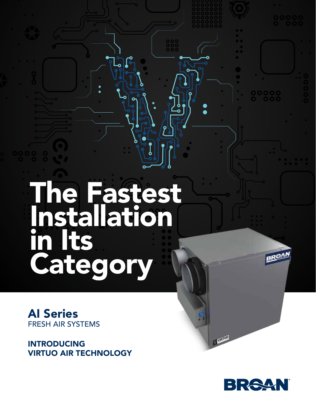# The Fastest Installation in Its Category

AI Series FRESH AIR SYSTEMS

INTRODUCING VIRTUO AIR TECHNOLOGY



**CALLES** 

**BROA**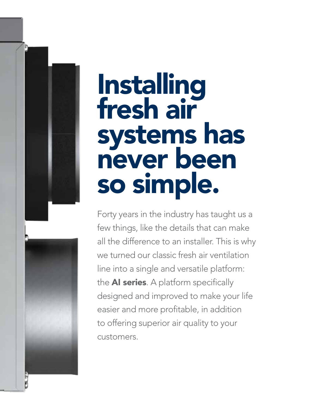# Installing fresh air systems has never been so simple.

Forty years in the industry has taught us a few things, like the details that can make all the difference to an installer. This is why we turned our classic fresh air ventilation line into a single and versatile platform: the **AI series**. A platform specifically designed and improved to make your life easier and more profitable, in addition to offering superior air quality to your customers.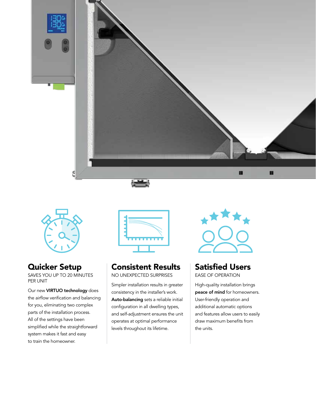



# Quicker Setup

SAVES YOU UP TO 20 MINUTES PER UNIT

Our new **VIRTUO technology** does the airflow verification and balancing for you, eliminating two complex parts of the installation process. All of the settings have been simplified while the straightforward system makes it fast and easy to train the homeowner.



# Consistent Results

NO UNEXPECTED SURPRISES

Simpler installation results in greater consistency in the installer's work. Auto-balancing sets a reliable initial configuration in all dwelling types, and self-adjustment ensures the unit operates at optimal performance levels throughout its lifetime.



# Satisfied Users

EASE OF OPERATION

High-quality installation brings peace of mind for homeowners. User-friendly operation and additional automatic options and features allow users to easily draw maximum benefits from the units.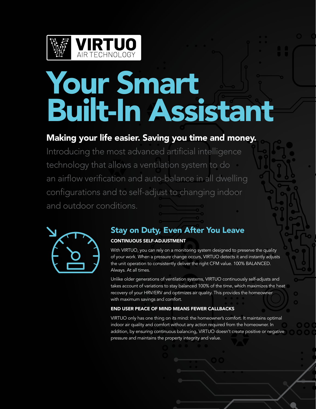

# Your Smart built-in assistant Built-In Assistant

#### Making your life easier. Saving you time and money. Introduced the case is survived smaller the money. Making your life easier. Saving you time and money.

a ventilation system to auto-balance in all dwellingconfigurations Introducing the most advanced artificial intelligence technology that allows a ventilation system to do an airflow verification and auto-balance in all dwelling configurations and to self-adjust to changing indoor and outdoor conditions.



# Stay on Duty, Even After You Leave CONTINUOUS SELF-ADJUSTMENT

the unit operation to consistently deliver the right CFM value. 100% BALANCED. With VIRTUO, you can rely on a monitoring system designed to preserve the quality of your work. When a pressure change occurs, VIRTUO detects it and instantly adjusts Always. At all times.

Aiways. At ail times.<br>Unlike older generations of ventilation systems, VIRTUO continuously self-adjusts and takes account of variations to stay balanced 100% of the time, which maximizes the heat  $\mathbf{E}$  and  $\mathbf{E}$  performs a complex part of the installation  $\mathbf{E}$ recovery of your HRV/ERV and optimizes air quality. This provides the homeowner system, Atmos analyzes and communicates the with maximum savings and comfort.

#### maximum achievable air flow for both exhaust air flow for both exhaust and both exhaust and END USER PEACE OF MIND MEANS FEWER CALLBACKS **END** USER PEACE OF MIND MEANS FEWER CALLBACKS

VIRTUO only has one thing on its mind: the homeowner's comfort. It maintains optimal indoor air quality and comfort without any action required from the homeowner. In indoor air quality and comfort without any action required from the homeowner. In addition, by ensuring continuous balancing, VIRTUO doesn't create positive or negative pressure and maintains the property integrity and value. dampers, pressure taps or pressure gauges, thanks to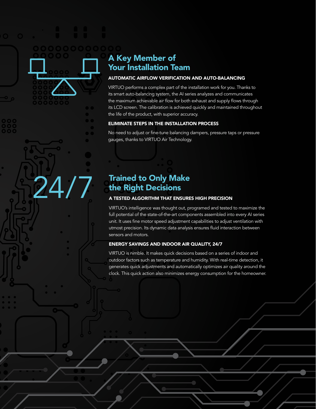# $\blacktriangleleft$   $^\circ$  A Key Member of **The Vour Installation Team**

#### With NEURO, you can rely on a monitoring system designed to preserve the quality of **EXECUTOMATIC AIRFLOW VERIFICATION AND AUTO-BALANCING**

VIRTUO performs a complex part of the installation work for you. Thanks to its smart auto-balancing system, the AI series analyzes and communicates the maximum achievable air flow for both exhaust and supply flows through  $t_{\rm c}$  is 1.00 serson. The colibration is achieved quickly and maintained the  $\sim$ its LCD screen. The calibration is achieved quickly and maintained throughout<br>its LCD screen. The calibration is achieved quickly and maintained throughout the life of the product, with superior accuracy.

# **ELIMINATE STEPS IN THE INSTALLATION PROCESS**

No need to adjust or fine-tune balancing dampers, pressure taps or pressure indoor air quality and comfort without any action required from the homeowner. In gauges, thanks to VIRTUO Air Technology.

# Trained to Only Make the Right Decisions

24/7

#### A TESTED ALGORITHM THAT ENSURES HIGH PRECISION

unit. It uses fine motor speed adjustment capabilities to adjust ventilation witi<br>utmost precision. Its dynamic data analysis ensures fluid interaction between  $\mathsf{b}_\mathsf{f}$ VIRTUO's intelligence was thought out, programed and tested to maximize the full potential of the state-of-the-art components assembled into every AI series unit. It uses fine motor speed adjustment capabilities to adjust ventilation with sensors and motors.

# ENERGY SAVINGS AND INDOOR AIR QUALITY, 24/7

VIRTUO is nimble. It makes quick decisions based on a series of indoor and programed and tested to maximize the full potential of outdoor factors such as temperature and humidity. With real-time detection, it generates quick adjustments and automatically optimizes air quality around the clock. This quick action also minimizes energy consumption for the homeowner.  $\overline{\phantom{a}}$  and  $\overline{\phantom{a}}$  data analysis ensures fluid interactions fluid interactions fluid interactions fluid interactions for  $\overline{\phantom{a}}$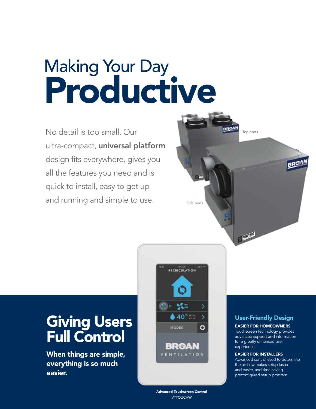# Making Your Day Productive

No detail is too small. Our ultra-compact, universal platform design fits everywhere, gives you all the features you need and is quick to install, easy to get up and running and simple to use. Side ports



# Giving Users Full Control

When things are simple, everything is so much easier.

> Advanced Touchscreen Control **VTTOUCHW**

MODE<br>RECIRCULATION

⑤≥≥ %≋

**MODES** 

 $• 40$  $*10$ 

BRean VENTILATION

8

ö

# User-Friendly Design

EASIER FOR HOMEOWNERS

Touchscreen technology provides advanced support and information for a greatly enhanced user experience

#### EASIER FOR INSTALLERS

Advanced control used to determine the air flow makes setup faster and easier, and time-saving preconfigured setup program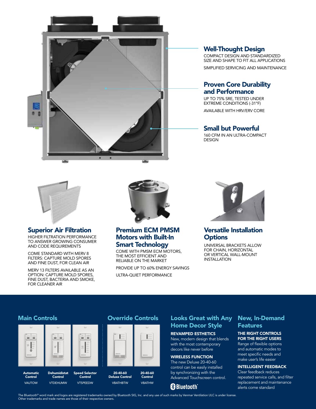

# Well-Thought Design

COMPACT DESIGN AND STANDARDIZED SIZE AND SHAPE TO FIT ALL APPLICATIONS SIMPLIFIED SERVICING AND MAINTENANCE

# Proven Core Durability and Performance

UP TO 75% SRE, TESTED UNDER EXTREME CONDITIONS (-31°F) AVAILABLE WITH HRV/ERV CORE

### Small but Powerful

160 CFM IN AN ULTRA-COMPACT **DESIGN** 



### Superior Air Filtration

HIGHER FILTRATION PERFORMANCE TO ANSWER GROWING CONSUMER AND CODE REQUIREMENTS

COME STANDARD WITH MERV 8 FILTERS: CAPTURE MOLD SPORES AND FINE DUST, FOR CLEAN AIR

MERV 13 FILTERS AVAILABLE AS AN OPTION: CAPTURE MOLD SPORES, FINE DUST, BACTERIA AND SMOKE, FOR CLEANER AIR



### Premium ECM PMSM Motors with Built-In Smart Technology

COME WITH PMSM ECM MOTORS, THE MOST EFFICIENT AND RELIABLE ON THE MARKET

PROVIDE UP TO 60% ENERGY SAVINGS

ULTRA-QUIET PERFORMANCE



## Versatile Installation **Options**

UNIVERSAL BRACKETS ALLOW FOR CHAIN, HORIZONTAL OR VERTICAL WALL-MOUNT INSTALLATION

#### Main Controls Override Controls



Automatic **Control** VAUTOW Dehumidistat Control VTDEHUMW



Control VTSPEEDW



VBATHW

# Looks Great with Any Home Decor Style

REVAMPED ESTHETICS New, modern design that blends with the most contemporary decors like never before

# WIRELESS FUNCTION

The new Deluxe 20-40-60 control can be easily installed by synchronizing with the Advanced Touchscreen control.

# **83 Bluetooth**

### New, In-Demand **Features**

#### THE RIGHT CONTROLS FOR THE RIGHT USERS

Range of flexible options and automatic modes to meet specific needs and make user's life easier

#### INTELLIGENT FEEDBACK

Clear feedback reduces repeated service calls, and filter replacement and maintenance alerts come standard

The Bluetooth® word mark and logos are registered trademarks owned by Bluetooth SIG, Inc. and any use of such marks by Venmar Ventilation ULC is under license. Other trademarks and trade names are those of their respective owners.

**VRATHRTW**